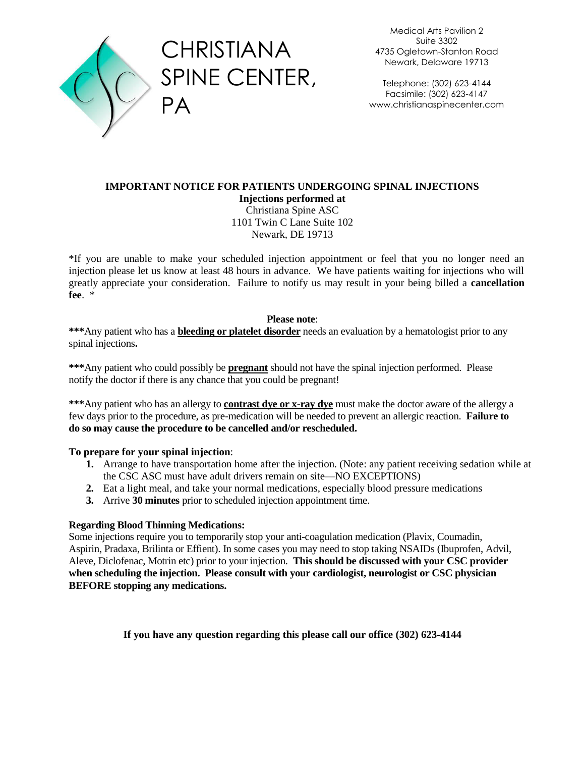

Medical Arts Pavilion 2 Suite 3302 4735 Ogletown-Stanton Road Newark, Delaware 19713

Telephone: (302) 623-4144 Facsimile: (302) 623-4147 www.christianaspinecenter.com

#### **IMPORTANT NOTICE FOR PATIENTS UNDERGOING SPINAL INJECTIONS Injections performed at**

Christiana Spine ASC 1101 Twin C Lane Suite 102 Newark, DE 19713

\*If you are unable to make your scheduled injection appointment or feel that you no longer need an injection please let us know at least 48 hours in advance. We have patients waiting for injections who will greatly appreciate your consideration. Failure to notify us may result in your being billed a **cancellation fee**. \*

## **Please note**:

**\*\*\***Any patient who has a **bleeding or platelet disorder** needs an evaluation by a hematologist prior to any spinal injections**.** 

**\*\*\***Any patient who could possibly be **pregnant** should not have the spinal injection performed. Please notify the doctor if there is any chance that you could be pregnant!

**\*\*\***Any patient who has an allergy to **contrast dye or x-ray dye** must make the doctor aware of the allergy a few days prior to the procedure, as pre-medication will be needed to prevent an allergic reaction. **Failure to do so may cause the procedure to be cancelled and/or rescheduled.**

# **To prepare for your spinal injection**:

- **1.** Arrange to have transportation home after the injection. (Note: any patient receiving sedation while at the CSC ASC must have adult drivers remain on site—NO EXCEPTIONS)
- **2.** Eat a light meal, and take your normal medications, especially blood pressure medications
- **3.** Arrive **30 minutes** prior to scheduled injection appointment time.

# **Regarding Blood Thinning Medications:**

Some injections require you to temporarily stop your anti-coagulation medication (Plavix, Coumadin, Aspirin, Pradaxa, Brilinta or Effient). In some cases you may need to stop taking NSAIDs (Ibuprofen, Advil, Aleve, Diclofenac, Motrin etc) prior to your injection. **This should be discussed with your CSC provider when scheduling the injection. Please consult with your cardiologist, neurologist or CSC physician BEFORE stopping any medications.** 

**If you have any question regarding this please call our office (302) 623-4144**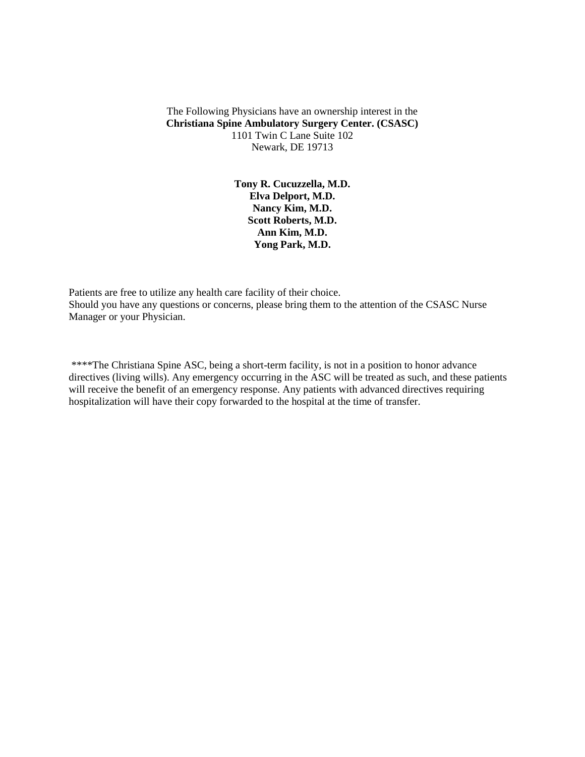The Following Physicians have an ownership interest in the **Christiana Spine Ambulatory Surgery Center. (CSASC)**  1101 Twin C Lane Suite 102 Newark, DE 19713

> **Tony R. Cucuzzella, M.D. Elva Delport, M.D. Nancy Kim, M.D. Scott Roberts, M.D. Ann Kim, M.D. Yong Park, M.D.**

Patients are free to utilize any health care facility of their choice. Should you have any questions or concerns, please bring them to the attention of the CSASC Nurse Manager or your Physician.

 \*\*\*\*The Christiana Spine ASC, being a short-term facility, is not in a position to honor advance directives (living wills). Any emergency occurring in the ASC will be treated as such, and these patients will receive the benefit of an emergency response. Any patients with advanced directives requiring hospitalization will have their copy forwarded to the hospital at the time of transfer.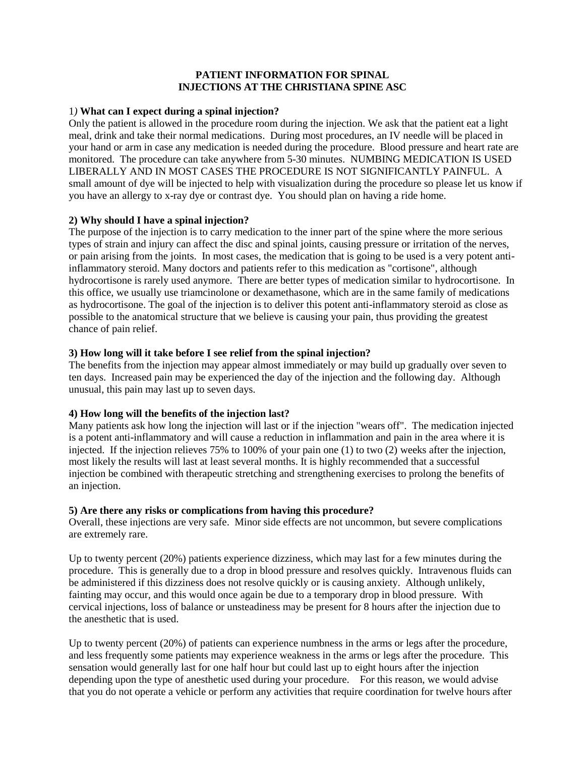#### **PATIENT INFORMATION FOR SPINAL INJECTIONS AT THE CHRISTIANA SPINE ASC**

### 1*)* **What can I expect during a spinal injection?**

Only the patient is allowed in the procedure room during the injection. We ask that the patient eat a light meal, drink and take their normal medications. During most procedures, an IV needle will be placed in your hand or arm in case any medication is needed during the procedure. Blood pressure and heart rate are monitored. The procedure can take anywhere from 5-30 minutes. NUMBING MEDICATION IS USED LIBERALLY AND IN MOST CASES THE PROCEDURE IS NOT SIGNIFICANTLY PAINFUL. A small amount of dye will be injected to help with visualization during the procedure so please let us know if you have an allergy to x-ray dye or contrast dye. You should plan on having a ride home.

### **2) Why should I have a spinal injection?**

The purpose of the injection is to carry medication to the inner part of the spine where the more serious types of strain and injury can affect the disc and spinal joints, causing pressure or irritation of the nerves, or pain arising from the joints. In most cases, the medication that is going to be used is a very potent antiinflammatory steroid. Many doctors and patients refer to this medication as "cortisone", although hydrocortisone is rarely used anymore. There are better types of medication similar to hydrocortisone. In this office, we usually use triamcinolone or dexamethasone, which are in the same family of medications as hydrocortisone. The goal of the injection is to deliver this potent anti-inflammatory steroid as close as possible to the anatomical structure that we believe is causing your pain, thus providing the greatest chance of pain relief.

### **3) How long will it take before I see relief from the spinal injection?**

The benefits from the injection may appear almost immediately or may build up gradually over seven to ten days. Increased pain may be experienced the day of the injection and the following day. Although unusual, this pain may last up to seven days.

### **4) How long will the benefits of the injection last?**

Many patients ask how long the injection will last or if the injection "wears off". The medication injected is a potent anti-inflammatory and will cause a reduction in inflammation and pain in the area where it is injected. If the injection relieves 75% to 100% of your pain one (1) to two (2) weeks after the injection, most likely the results will last at least several months. It is highly recommended that a successful injection be combined with therapeutic stretching and strengthening exercises to prolong the benefits of an injection.

#### **5) Are there any risks or complications from having this procedure?**

Overall, these injections are very safe. Minor side effects are not uncommon, but severe complications are extremely rare.

Up to twenty percent (20%) patients experience dizziness, which may last for a few minutes during the procedure. This is generally due to a drop in blood pressure and resolves quickly. Intravenous fluids can be administered if this dizziness does not resolve quickly or is causing anxiety. Although unlikely, fainting may occur, and this would once again be due to a temporary drop in blood pressure. With cervical injections, loss of balance or unsteadiness may be present for 8 hours after the injection due to the anesthetic that is used.

Up to twenty percent (20%) of patients can experience numbness in the arms or legs after the procedure, and less frequently some patients may experience weakness in the arms or legs after the procedure. This sensation would generally last for one half hour but could last up to eight hours after the injection depending upon the type of anesthetic used during your procedure. For this reason, we would advise that you do not operate a vehicle or perform any activities that require coordination for twelve hours after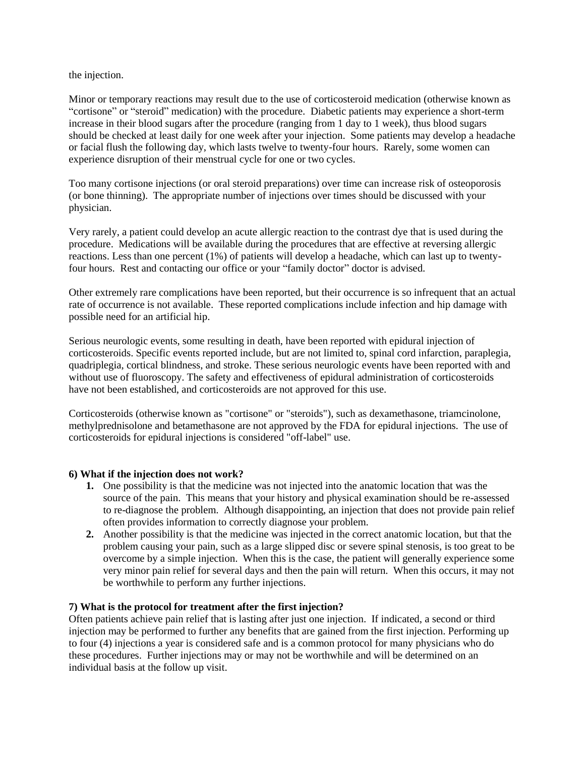the injection.

Minor or temporary reactions may result due to the use of corticosteroid medication (otherwise known as "cortisone" or "steroid" medication) with the procedure. Diabetic patients may experience a short-term increase in their blood sugars after the procedure (ranging from 1 day to 1 week), thus blood sugars should be checked at least daily for one week after your injection. Some patients may develop a headache or facial flush the following day, which lasts twelve to twenty-four hours. Rarely, some women can experience disruption of their menstrual cycle for one or two cycles.

Too many cortisone injections (or oral steroid preparations) over time can increase risk of osteoporosis (or bone thinning). The appropriate number of injections over times should be discussed with your physician.

Very rarely, a patient could develop an acute allergic reaction to the contrast dye that is used during the procedure. Medications will be available during the procedures that are effective at reversing allergic reactions. Less than one percent (1%) of patients will develop a headache, which can last up to twentyfour hours. Rest and contacting our office or your "family doctor" doctor is advised.

Other extremely rare complications have been reported, but their occurrence is so infrequent that an actual rate of occurrence is not available. These reported complications include infection and hip damage with possible need for an artificial hip.

Serious neurologic events, some resulting in death, have been reported with epidural injection of corticosteroids. Specific events reported include, but are not limited to, spinal cord infarction, paraplegia, quadriplegia, cortical blindness, and stroke. These serious neurologic events have been reported with and without use of fluoroscopy. The safety and effectiveness of epidural administration of corticosteroids have not been established, and corticosteroids are not approved for this use.

Corticosteroids (otherwise known as "cortisone" or "steroids"), such as dexamethasone, triamcinolone, methylprednisolone and betamethasone are not approved by the FDA for epidural injections. The use of corticosteroids for epidural injections is considered "off-label" use.

### **6) What if the injection does not work?**

- **1.** One possibility is that the medicine was not injected into the anatomic location that was the source of the pain. This means that your history and physical examination should be re-assessed to re-diagnose the problem. Although disappointing, an injection that does not provide pain relief often provides information to correctly diagnose your problem.
- **2.** Another possibility is that the medicine was injected in the correct anatomic location, but that the problem causing your pain, such as a large slipped disc or severe spinal stenosis, is too great to be overcome by a simple injection. When this is the case, the patient will generally experience some very minor pain relief for several days and then the pain will return. When this occurs, it may not be worthwhile to perform any further injections.

### **7) What is the protocol for treatment after the first injection?**

Often patients achieve pain relief that is lasting after just one injection. If indicated, a second or third injection may be performed to further any benefits that are gained from the first injection. Performing up to four (4) injections a year is considered safe and is a common protocol for many physicians who do these procedures. Further injections may or may not be worthwhile and will be determined on an individual basis at the follow up visit.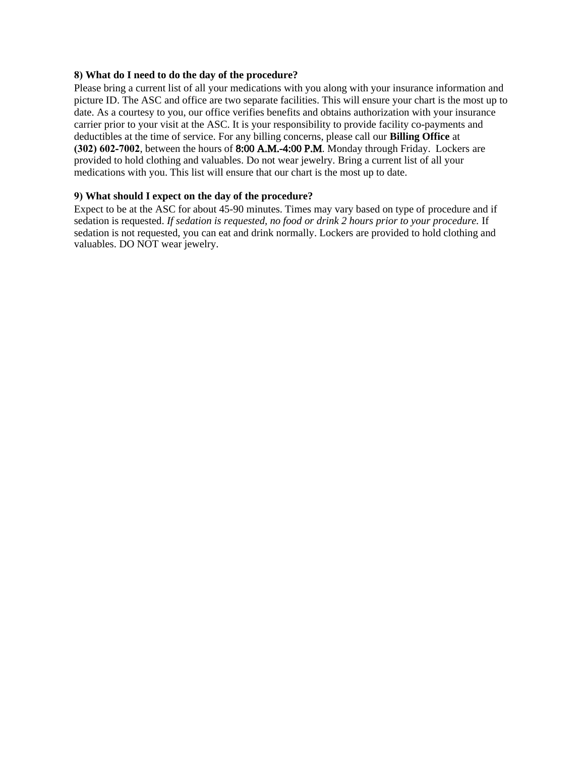#### **8) What do I need to do the day of the procedure?**

Please bring a current list of all your medications with you along with your insurance information and picture ID. The ASC and office are two separate facilities. This will ensure your chart is the most up to date. As a courtesy to you, our office verifies benefits and obtains authorization with your insurance carrier prior to your visit at the ASC. It is your responsibility to provide facility co-payments and deductibles at the time of service. For any billing concerns, please call our **Billing Office** at **(302) 602-7002**, between the hours of 8:00 A.M.-4:00 P.M. Monday through Friday. Lockers are provided to hold clothing and valuables. Do not wear jewelry. Bring a current list of all your medications with you. This list will ensure that our chart is the most up to date.

#### **9) What should I expect on the day of the procedure?**

Expect to be at the ASC for about 45-90 minutes. Times may vary based on type of procedure and if sedation is requested. *If sedation is requested, no food or drink 2 hours prior to your procedure.* If sedation is not requested, you can eat and drink normally. Lockers are provided to hold clothing and valuables. DO NOT wear jewelry.